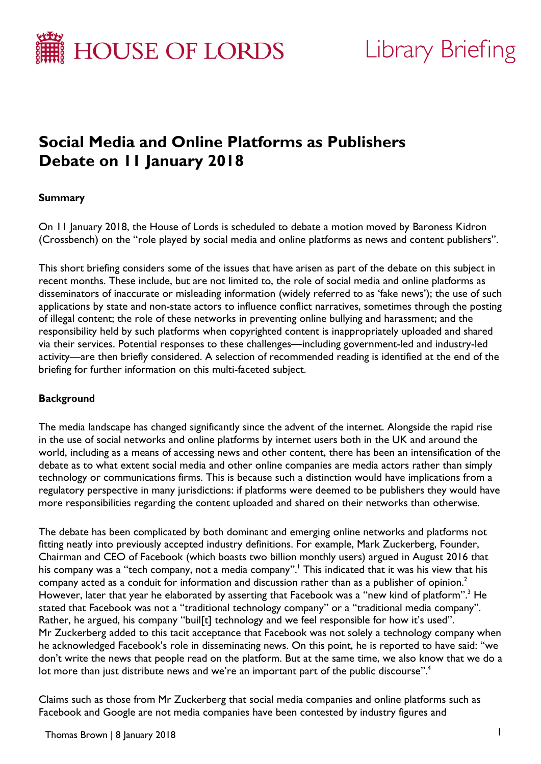

# **Library Briefing**

# **Social Media and Online Platforms as Publishers Debate on 11 January 2018**

# **Summary**

On 11 January 2018, the House of Lords is scheduled to debate a motion moved by Baroness Kidron (Crossbench) on the "role played by social media and online platforms as news and content publishers".

This short briefing considers some of the issues that have arisen as part of the debate on this subject in recent months. These include, but are not limited to, the role of social media and online platforms as disseminators of inaccurate or misleading information (widely referred to as 'fake news'); the use of such applications by state and non-state actors to influence conflict narratives, sometimes through the posting of illegal content; the role of these networks in preventing online bullying and harassment; and the responsibility held by such platforms when copyrighted content is inappropriately uploaded and shared via their services. Potential responses to these challenges—including government-led and industry-led activity—are then briefly considered. A selection of recommended reading is identified at the end of the briefing for further information on this multi-faceted subject.

#### **Background**

The media landscape has changed significantly since the advent of the internet. Alongside the rapid rise in the use of social networks and online platforms by internet users both in the UK and around the world, including as a means of accessing news and other content, there has been an intensification of the debate as to what extent social media and other online companies are media actors rather than simply technology or communications firms. This is because such a distinction would have implications from a regulatory perspective in many jurisdictions: if platforms were deemed to be publishers they would have more responsibilities regarding the content uploaded and shared on their networks than otherwise.

The debate has been complicated by both dominant and emerging online networks and platforms not fitting neatly into previously accepted industry definitions. For example, Mark Zuckerberg, Founder, Chairman and CEO of Facebook (which boasts two billion monthly users) argued in August 2016 that his company was a "tech company, not a media company". <sup>1</sup> This indicated that it was his view that his company acted as a conduit for information and discussion rather than as a publisher of opinion. 2 However, later that year he elaborated by asserting that Facebook was a "new kind of platform". <sup>3</sup> He stated that Facebook was not a "traditional technology company" or a "traditional media company". Rather, he argued, his company "buil[t] technology and we feel responsible for how it's used". Mr Zuckerberg added to this tacit acceptance that Facebook was not solely a technology company when he acknowledged Facebook's role in disseminating news. On this point, he is reported to have said: "we don't write the news that people read on the platform. But at the same time, we also know that we do a lot more than just distribute news and we're an important part of the public discourse".<sup>4</sup>

Claims such as those from Mr Zuckerberg that social media companies and online platforms such as Facebook and Google are not media companies have been contested by industry figures and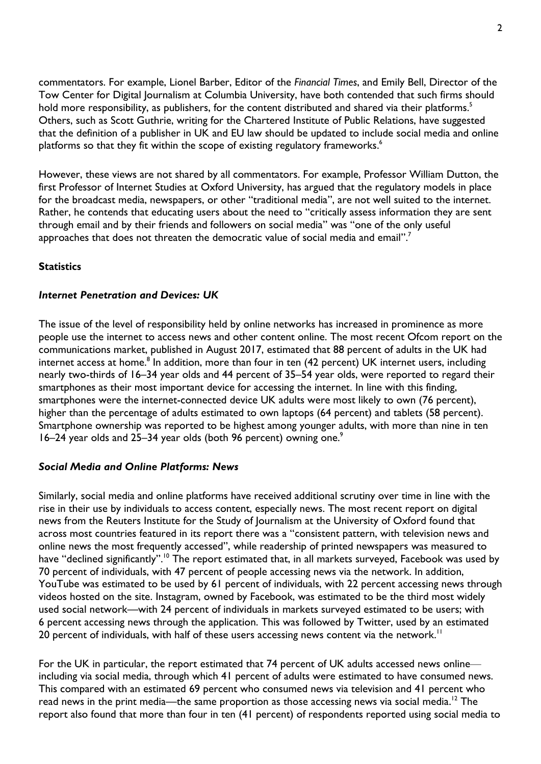commentators. For example, Lionel Barber, Editor of the *Financial Times*, and Emily Bell, Director of the Tow Center for Digital Journalism at Columbia University, have both contended that such firms should hold more responsibility, as publishers, for the content distributed and shared via their platforms.<sup>5</sup> Others, such as Scott Guthrie, writing for the Chartered Institute of Public Relations, have suggested that the definition of a publisher in UK and EU law should be updated to include social media and online platforms so that they fit within the scope of existing regulatory frameworks. $\lq$ 

However, these views are not shared by all commentators. For example, Professor William Dutton, the first Professor of Internet Studies at Oxford University, has argued that the regulatory models in place for the broadcast media, newspapers, or other "traditional media", are not well suited to the internet. Rather, he contends that educating users about the need to "critically assess information they are sent through email and by their friends and followers on social media" was "one of the only useful approaches that does not threaten the democratic value of social media and email".<sup>7</sup>

# **Statistics**

#### *Internet Penetration and Devices: UK*

The issue of the level of responsibility held by online networks has increased in prominence as more people use the internet to access news and other content online. The most recent Ofcom report on the communications market, published in August 2017, estimated that 88 percent of adults in the UK had internet access at home.<sup>8</sup> In addition, more than four in ten (42 percent) UK internet users, including nearly two-thirds of 16–34 year olds and 44 percent of 35–54 year olds, were reported to regard their smartphones as their most important device for accessing the internet. In line with this finding, smartphones were the internet-connected device UK adults were most likely to own (76 percent), higher than the percentage of adults estimated to own laptops (64 percent) and tablets (58 percent). Smartphone ownership was reported to be highest among younger adults, with more than nine in ten 16–24 year olds and 25–34 year olds (both 96 percent) owning one.<sup>9</sup>

#### *Social Media and Online Platforms: News*

Similarly, social media and online platforms have received additional scrutiny over time in line with the rise in their use by individuals to access content, especially news. The most recent report on digital news from the Reuters Institute for the Study of Journalism at the University of Oxford found that across most countries featured in its report there was a "consistent pattern, with television news and online news the most frequently accessed", while readership of printed newspapers was measured to have "declined significantly".<sup>10</sup> The report estimated that, in all markets surveyed, Facebook was used by 70 percent of individuals, with 47 percent of people accessing news via the network. In addition, YouTube was estimated to be used by 61 percent of individuals, with 22 percent accessing news through videos hosted on the site. Instagram, owned by Facebook, was estimated to be the third most widely used social network—with 24 percent of individuals in markets surveyed estimated to be users; with 6 percent accessing news through the application. This was followed by Twitter, used by an estimated 20 percent of individuals, with half of these users accessing news content via the network.<sup>11</sup>

For the UK in particular, the report estimated that 74 percent of UK adults accessed news online including via social media, through which 41 percent of adults were estimated to have consumed news. This compared with an estimated 69 percent who consumed news via television and 41 percent who read news in the print media—the same proportion as those accessing news via social media.<sup>12</sup> The report also found that more than four in ten (41 percent) of respondents reported using social media to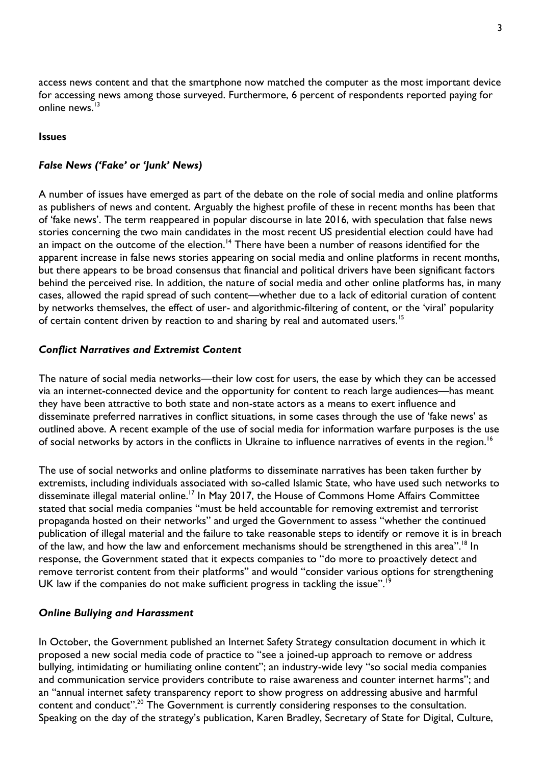access news content and that the smartphone now matched the computer as the most important device for accessing news among those surveyed. Furthermore, 6 percent of respondents reported paying for online news.<sup>13</sup>

#### **Issues**

# *False News ('Fake' or 'Junk' News)*

A number of issues have emerged as part of the debate on the role of social media and online platforms as publishers of news and content. Arguably the highest profile of these in recent months has been that of 'fake news'. The term reappeared in popular discourse in late 2016, with speculation that false news stories concerning the two main candidates in the most recent US presidential election could have had an impact on the outcome of the election.<sup>14</sup> There have been a number of reasons identified for the apparent increase in false news stories appearing on social media and online platforms in recent months, but there appears to be broad consensus that financial and political drivers have been significant factors behind the perceived rise. In addition, the nature of social media and other online platforms has, in many cases, allowed the rapid spread of such content—whether due to a lack of editorial curation of content by networks themselves, the effect of user- and algorithmic-filtering of content, or the 'viral' popularity of certain content driven by reaction to and sharing by real and automated users.<sup>15</sup>

# *Conflict Narratives and Extremist Content*

The nature of social media networks—their low cost for users, the ease by which they can be accessed via an internet-connected device and the opportunity for content to reach large audiences—has meant they have been attractive to both state and non-state actors as a means to exert influence and disseminate preferred narratives in conflict situations, in some cases through the use of 'fake news' as outlined above. A recent example of the use of social media for information warfare purposes is the use of social networks by actors in the conflicts in Ukraine to influence narratives of events in the region.<sup>16</sup>

The use of social networks and online platforms to disseminate narratives has been taken further by extremists, including individuals associated with so-called Islamic State, who have used such networks to disseminate illegal material online.<sup>17</sup> In May 2017, the House of Commons Home Affairs Committee stated that social media companies "must be held accountable for removing extremist and terrorist propaganda hosted on their networks" and urged the Government to assess "whether the continued publication of illegal material and the failure to take reasonable steps to identify or remove it is in breach of the law, and how the law and enforcement mechanisms should be strengthened in this area".<sup>18</sup> In response, the Government stated that it expects companies to "do more to proactively detect and remove terrorist content from their platforms" and would "consider various options for strengthening UK law if the companies do not make sufficient progress in tackling the issue".<sup>19</sup>

#### *Online Bullying and Harassment*

In October, the Government published an Internet Safety Strategy consultation document in which it proposed a new social media code of practice to "see a joined-up approach to remove or address bullying, intimidating or humiliating online content"; an industry-wide levy "so social media companies and communication service providers contribute to raise awareness and counter internet harms"; and an "annual internet safety transparency report to show progress on addressing abusive and harmful content and conduct".<sup>20</sup> The Government is currently considering responses to the consultation. Speaking on the day of the strategy's publication, Karen Bradley, Secretary of State for Digital, Culture,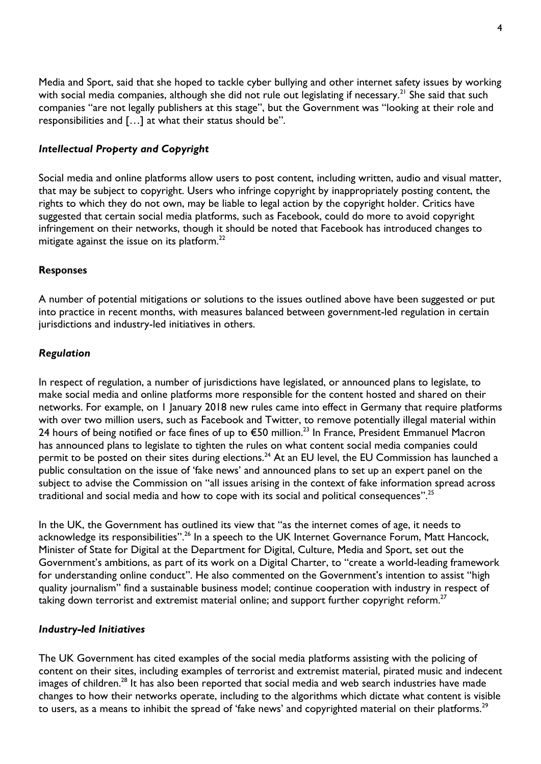Media and Sport, said that she hoped to tackle cyber bullying and other internet safety issues by working with social media companies, although she did not rule out legislating if necessary.<sup>21</sup> She said that such companies "are not legally publishers at this stage", but the Government was "looking at their role and responsibilities and […] at what their status should be".

## *Intellectual Property and Copyright*

Social media and online platforms allow users to post content, including written, audio and visual matter, that may be subject to copyright. Users who infringe copyright by inappropriately posting content, the rights to which they do not own, may be liable to legal action by the copyright holder. Critics have suggested that certain social media platforms, such as Facebook, could do more to avoid copyright infringement on their networks, though it should be noted that Facebook has introduced changes to mitigate against the issue on its platform. $^{22}$ 

### **Responses**

A number of potential mitigations or solutions to the issues outlined above have been suggested or put into practice in recent months, with measures balanced between government-led regulation in certain jurisdictions and industry-led initiatives in others.

#### *Regulation*

In respect of regulation, a number of jurisdictions have legislated, or announced plans to legislate, to make social media and online platforms more responsible for the content hosted and shared on their networks. For example, on 1 January 2018 new rules came into effect in Germany that require platforms with over two million users, such as Facebook and Twitter, to remove potentially illegal material within 24 hours of being notified or face fines of up to €50 million. <sup>23</sup> In France, President Emmanuel Macron has announced plans to legislate to tighten the rules on what content social media companies could permit to be posted on their sites during elections.<sup>24</sup> At an EU level, the EU Commission has launched a public consultation on the issue of 'fake news' and announced plans to set up an expert panel on the subject to advise the Commission on "all issues arising in the context of fake information spread across traditional and social media and how to cope with its social and political consequences".<sup>25</sup>

In the UK, the Government has outlined its view that "as the internet comes of age, it needs to acknowledge its responsibilities".<sup>26</sup> In a speech to the UK Internet Governance Forum, Matt Hancock, Minister of State for Digital at the Department for Digital, Culture, Media and Sport, set out the Government's ambitions, as part of its work on a Digital Charter, to "create a world-leading framework for understanding online conduct". He also commented on the Government's intention to assist "high quality journalism" find a sustainable business model; continue cooperation with industry in respect of taking down terrorist and extremist material online; and support further copyright reform. $^{27}$ 

#### *Industry-led Initiatives*

The UK Government has cited examples of the social media platforms assisting with the policing of content on their sites, including examples of terrorist and extremist material, pirated music and indecent images of children.<sup>28</sup> It has also been reported that social media and web search industries have made changes to how their networks operate, including to the algorithms which dictate what content is visible to users, as a means to inhibit the spread of 'fake news' and copyrighted material on their platforms.<sup>29</sup>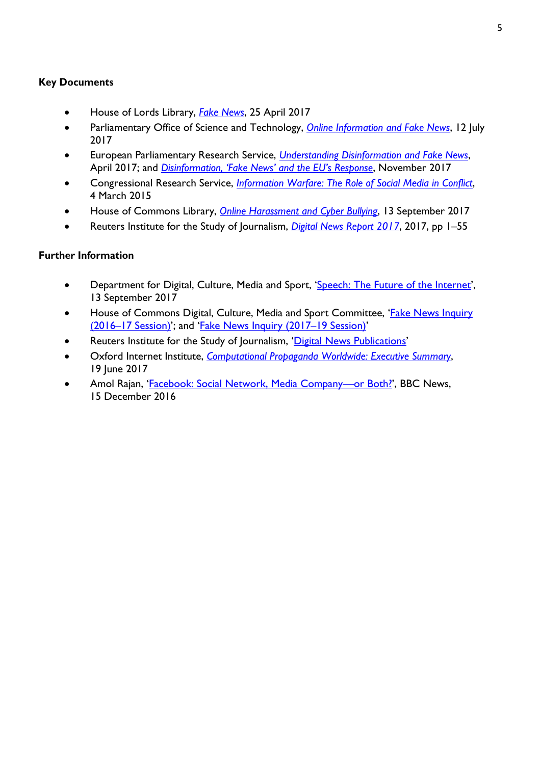# **Key Documents**

- House of Lords Library, *[Fake News](http://researchbriefings.parliament.uk/ResearchBriefing/Summary/LIF-2017-0040)*, 25 April 2017
- Parliamentary Office of Science and Technology, *[Online Information and Fake News](http://researchbriefings.parliament.uk/ResearchBriefing/Summary/POST-PN-0559)*, 12 July 2017
- European Parliamentary Research Service, *[Understanding Disinformation and Fake News](http://www.europarl.europa.eu/RegData/etudes/ATAG/2017/599408/EPRS_ATA(2017)599408_EN.pdf)*, April 2017; and *Disinforma[tion, 'Fake News' and the EU's Response](http://www.europarl.europa.eu/RegData/etudes/ATAG/2017/614584/EPRS_ATA(2017)614584_EN.pdf)*, November 2017
- Congressional Research Service, *[Information Warfare: The Role of Social Media in Conflict](https://fas.org/sgp/crs/misc/IN10240.pdf)*, 4 March 2015
- House of Commons Library, *[Online Harassment and Cyber Bullying](http://researchbriefings.parliament.uk/ResearchBriefing/Summary/CBP-7967)*, 13 September 2017
- Reuters Institute for the Study of Journalism, *[Digital News Report 2017](https://reutersinstitute.politics.ox.ac.uk/sites/default/files/Digital%20News%20Report%202017%20web_0.pdf)*, 2017, pp 1–55

# **Further Information**

- Department for Digital, Culture, Media and Sport, '[Speech: The Future of the Internet](https://www.gov.uk/government/speeches/the-future-of-the-internet)', 13 September 2017
- House of Commons Digital, Culture, Media and Sport Committee, '[Fake News Inquiry](http://www.parliament.uk/business/committees/committees-a-z/commons-select/culture-media-and-sport-committee/inquiries/parliament-2015/inquiry2/)  (2016–[17 Session\)](http://www.parliament.uk/business/committees/committees-a-z/commons-select/culture-media-and-sport-committee/inquiries/parliament-2015/inquiry2/)'; and '[Fake News Inquiry \(2017](https://www.parliament.uk/business/committees/committees-a-z/commons-select/digital-culture-media-and-sport-committee/inquiries/parliament-2017/fake-news-17-19/)–19 Session)'
- Reuters Institute for the Study of Journalism, '[Digital News Publications](http://www.digitalnewsreport.org/publications/)'
- Oxford Internet Institute, *[Computational Propaganda Worldwide: Executive Summary](http://comprop.oii.ox.ac.uk/wp-content/uploads/sites/89/2017/06/Casestudies-ExecutiveSummary.pdf)*, 19 June 2017
- Amol Rajan, '[Facebook: Social Network, Media Company](http://www.bbc.co.uk/news/entertainment-arts-38333249)-or Both!', BBC News, 15 December 2016